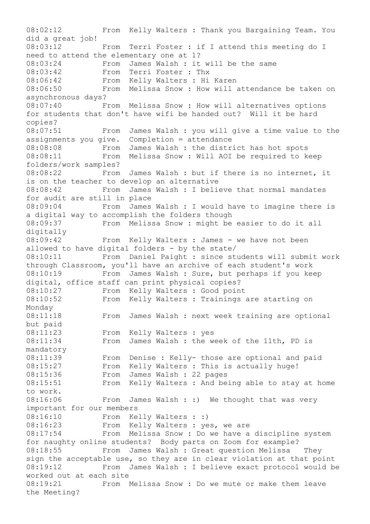08:02:12 From Kelly Walters : Thank you Bargaining Team. You did a great job! 08:03:12 From Terri Foster : if I attend this meeting do I need to attend the elementary one at 1? 08:03:24 From James Walsh : it will be the same 08:03:42 From Terri Foster : Thx 08:06:42 From Kelly Walters : Hi Karen 08:06:50 From Melissa Snow : How will attendance be taken on asynchronous days? 08:07:40 From Melissa Snow : How will alternatives options for students that don't have wifi be handed out? Will it be hard copies? 08:07:51 From James Walsh : you will give a time value to the assignments you give. Completion = attendance 08:08:08 From James Walsh : the district has hot spots 08:08:11 From Melissa Snow : Will AOI be required to keep folders/work samples? 08:08:22 From James Walsh : but if there is no internet, it is on the teacher to develop an alternative 08:08:42 From James Walsh : I believe that normal mandates for audit are still in place 08:09:04 From James Walsh : I would have to imagine there is a digital way to accomplish the folders though 08:09:37 From Melissa Snow : might be easier to do it all digitally 08:09:42 From Kelly Walters : James - we have not been allowed to have digital folders - by the state/ 08:10:11 From Daniel Paight : since students will submit work through Classroom, you'll have an archive of each student's work 08:10:19 From James Walsh : Sure, but perhaps if you keep digital, office staff can print physical copies? 08:10:27 From Kelly Walters : Good point 08:10:52 From Kelly Walters : Trainings are starting on Monday 08:11:18 From James Walsh : next week training are optional but paid 08:11:23 From Kelly Walters : yes 08:11:34 From James Walsh : the week of the 11th, PD is mandatory 08:11:39 From Denise : Kelly- those are optional and paid 08:15:27 From Kelly Walters : This is actually huge! 08:15:36 From James Walsh : 22 pages 08:15:51 From Kelly Walters : And being able to stay at home to work. 08:16:06 From James Walsh : :) We thought that was very important for our members 08:16:10 From Kelly Walters : :) 08:16:23 From Kelly Walters : yes, we are 08:17:54 From Melissa Snow : Do we have a discipline system for naughty online students? Body parts on Zoom for example? 08:18:55 From James Walsh : Great question Melissa They sign the acceptable use, so they are in clear violation at that point 08:19:12 From James Walsh : I believe exact protocol would be worked out at each site 08:19:21 From Melissa Snow : Do we mute or make them leave the Meeting?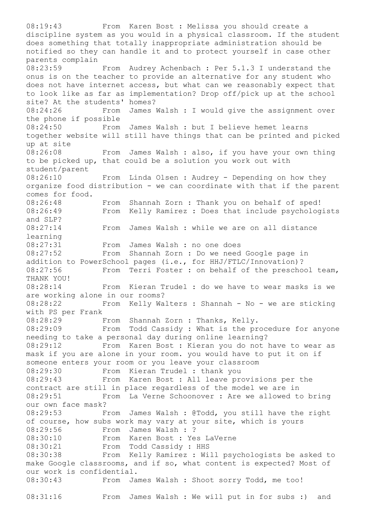08:19:43 From Karen Bost : Melissa you should create a discipline system as you would in a physical classroom. If the student does something that totally inappropriate administration should be notified so they can handle it and to protect yourself in case other parents complain 08:23:59 From Audrey Achenbach : Per 5.1.3 I understand the onus is on the teacher to provide an alternative for any student who does not have internet access, but what can we reasonably expect that to look like as far as implementation? Drop off/pick up at the school site? At the students' homes? 08:24:26 From James Walsh : I would give the assignment over the phone if possible 08:24:50 From James Walsh : but I believe hemet learns together website will still have things that can be printed and picked up at site 08:26:08 From James Walsh : also, if you have your own thing to be picked up, that could be a solution you work out with student/parent 08:26:10 From Linda Olsen : Audrey - Depending on how they organize food distribution - we can coordinate with that if the parent comes for food. 08:26:48 From Shannah Zorn : Thank you on behalf of sped! 08:26:49 From Kelly Ramirez : Does that include psychologists and SLP? 08:27:14 From James Walsh : while we are on all distance learning 08:27:31 From James Walsh : no one does 08:27:52 From Shannah Zorn : Do we need Google page in addition to PowerSchool pages (i.e., for HHJ/FTLC/Innovation)? 08:27:56 From Terri Foster : on behalf of the preschool team, THANK YOU! 08:28:14 From Kieran Trudel : do we have to wear masks is we are working alone in our rooms? 08:28:22 From Kelly Walters : Shannah - No - we are sticking with PS per Frank 08:28:29 From Shannah Zorn : Thanks, Kelly. 08:29:09 From Todd Cassidy : What is the procedure for anyone needing to take a personal day during online learning? 08:29:12 From Karen Bost : Kieran you do not have to wear as mask if you are alone in your room. you would have to put it on if someone enters your room or you leave your classroom 08:29:30 From Kieran Trudel : thank you 08:29:43 From Karen Bost : All leave provisions per the contract are still in place regardless of the model we are in 08:29:51 From La Verne Schoonover : Are we allowed to bring our own face mask? 08:29:53 From James Walsh : @Todd, you still have the right of course, how subs work may vary at your site, which is yours 08:29:56 From James Walsh : ? 08:30:10 From Karen Bost : Yes LaVerne 08:30:21 From Todd Cassidy : HHS 08:30:38 From Kelly Ramirez : Will psychologists be asked to make Google classrooms, and if so, what content is expected? Most of our work is confidential. 08:30:43 From James Walsh : Shoot sorry Todd, me too! 08:31:16 From James Walsh : We will put in for subs :) and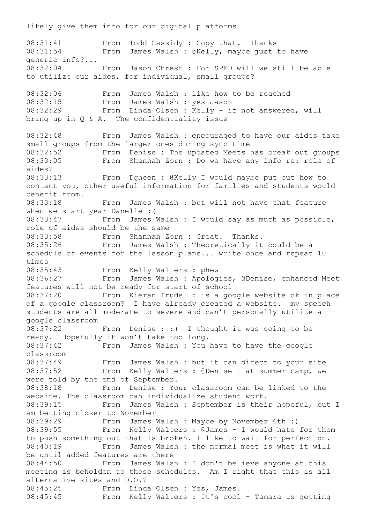08:31:41 From Todd Cassidy : Copy that. Thanks<br>08:31:54 From James Walsh : @Kellv, mavbe iust From James Walsh : @Kelly, maybe just to have generic info?... 08:32:04 From Jason Chrest : For SPED will we still be able to utilize our aides, for individual, small groups? 08:32:06 From James Walsh : like how to be reached<br>08:32:15 From James Walsh : yes Jason From James Walsh : yes Jason 08:32:29 From Linda Olsen : Kelly - if not answered, will bring up in Q & A. The confidentiality issue 08:32:48 From James Walsh : encouraged to have our aides take small groups from the larger ones during sync time 08:32:52 From Denise : The updated Meets has break out groups 08:33:05 From Shannah Zorn : Do we have any info re: role of aides? 08:33:13 From Dgheen : @Kelly I would maybe put out how to contact you, other useful information for families and students would benefit from. 08:33:18 From James Walsh : but will not have that feature when we start year Danelle :( 08:33:47 From James Walsh : I would say as much as possible, role of aides should be the same 08:33:58 From Shannah Zorn : Great. Thanks. 08:35:26 From James Walsh : Theoretically it could be a schedule of events for the lesson plans... write once and repeat 10 times 08:35:43 From Kelly Walters : phew 08:36:27 From James Walsh : Apologies, @Denise, enhanced Meet features will not be ready for start of school 08:37:20 From Kieran Trudel : is a google website ok in place of a google classroom? I have already created a website. my speech students are all moderate to severe and can't personally utilize a google classroom 08:37:22 From Denise : :( I thought it was going to be ready. Hopefully it won't take too long. 08:37:42 From James Walsh : You have to have the google classroom 08:37:49 From James Walsh : but it can direct to your site 08:37:52 From Kelly Walters : @Denise - at summer camp, we were told by the end of September. 08:38:18 From Denise : Your classroom can be linked to the website. The classroom can individualize student work. 08:39:15 From James Walsh : September is their hopeful, but I am betting closer to November 08:39:29 From James Walsh : Maybe by November 6th :) 08:39:55 From Kelly Walters : @James - I would hate for them to push something out that is broken. I like to wait for perfection. 08:40:19 From James Walsh : the normal meet is what it will be until added features are there 08:44:50 From James Walsh : I don't believe anyone at this meeting is beholden to those schedules. Am I right that this is all alternative sites and D.O.? 08:45:25 From Linda Olsen : Yes, James. 08:45:45 From Kelly Walters : It's cool - Tamara is getting

likely give them info for our digital platforms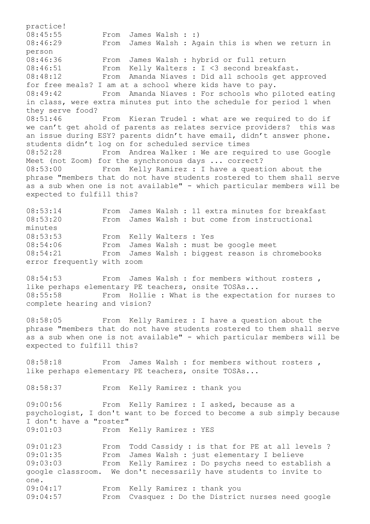practice! 08:45:55 From James Walsh : :) 08:46:29 From James Walsh : Again this is when we return in person 08:46:36 From James Walsh : hybrid or full return 08:46:51 From Kelly Walters : I <3 second breakfast. 08:48:12 From Amanda Niaves : Did all schools get approved for free meals? I am at a school where kids have to pay. 08:49:42 From Amanda Niaves : For schools who piloted eating in class, were extra minutes put into the schedule for period 1 when they serve food? 08:51:46 From Kieran Trudel : what are we required to do if we can't get ahold of parents as relates service providers? this was an issue during ESY? parents didn't have email, didn't answer phone. students didn't log on for scheduled service times 08:52:28 From Andrea Walker : We are required to use Google Meet (not Zoom) for the synchronous days ... correct? 08:53:00 From Kelly Ramirez : I have a question about the phrase "members that do not have students rostered to them shall serve as a sub when one is not available" - which particular members will be expected to fulfill this? 08:53:14 From James Walsh : 11 extra minutes for breakfast 08:53:20 From James Walsh : but come from instructional minutes 08:53:53 From Kelly Walters : Yes 08:54:06 From James Walsh : must be google meet 08:54:21 From James Walsh : biggest reason is chromebooks error frequently with zoom 08:54:53 From James Walsh : for members without rosters, like perhaps elementary PE teachers, onsite TOSAs... 08:55:58 From Hollie : What is the expectation for nurses to complete hearing and vision? 08:58:05 From Kelly Ramirez : I have a question about the phrase "members that do not have students rostered to them shall serve as a sub when one is not available" - which particular members will be expected to fulfill this? 08:58:18 From James Walsh : for members without rosters, like perhaps elementary PE teachers, onsite TOSAs... 08:58:37 From Kelly Ramirez : thank you 09:00:56 From Kelly Ramirez : I asked, because as a psychologist, I don't want to be forced to become a sub simply because I don't have a "roster" 09:01:03 From Kelly Ramirez : YES 09:01:23 From Todd Cassidy : is that for PE at all levels ? 09:01:35 From James Walsh : just elementary I believe 09:03:03 From Kelly Ramirez : Do psychs need to establish a google classroom. We don't necessarily have students to invite to one.

09:04:17 From Kelly Ramirez : thank you 09:04:57 From Cvasquez : Do the District nurses need google